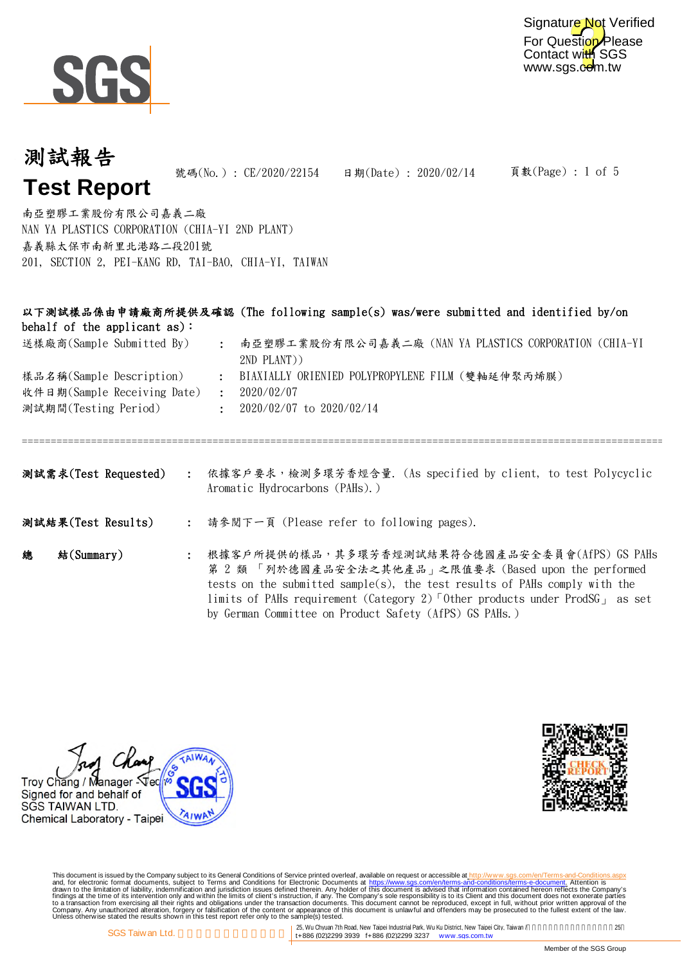

For Question Please Contact with SGS www.sgs.com.tw Signature Not Verified

頁數(Page) : 1 of 5

# 測試報告 **Test Report** 號碼(No.): CE/2020/22154 日期(Date): 2020/02/14

NAN YA PLASTICS CORPORATION (CHIA-YI 2ND PLANT) 嘉義縣太保市南新里北港路二段201號 201, SECTION 2, PEI-KANG RD, TAI-BAO, CHIA-YI, TAIWAN 南亞塑膠工業股份有限公司嘉義二廠

| behalf of the applicant $as$ : |                            | 以下測試樣品係由申請廠商所提供及確認 (The following sample(s) was/were submitted and identified by/on                                                                                                                                                                                                                                                          |  |  |  |  |  |
|--------------------------------|----------------------------|----------------------------------------------------------------------------------------------------------------------------------------------------------------------------------------------------------------------------------------------------------------------------------------------------------------------------------------------|--|--|--|--|--|
| 送樣廠商(Sample Submitted By)      | $\mathcal{L}^{\text{max}}$ | 南亞塑膠工業股份有限公司嘉義二廠 (NAN YA PLASTICS CORPORATION (CHIA-YI<br>2ND PLANT))                                                                                                                                                                                                                                                                        |  |  |  |  |  |
| 樣品名稱(Sample Description)       | $\ddot{\cdot}$             | BIAXIALLY ORIENIED POLYPROPYLENE FILM (雙軸延伸聚丙烯膜)                                                                                                                                                                                                                                                                                             |  |  |  |  |  |
| 收件日期(Sample Receiving Date)    | $\mathbf{L}$               | 2020/02/07                                                                                                                                                                                                                                                                                                                                   |  |  |  |  |  |
| 測試期間(Testing Period)           |                            | $\div$ 2020/02/07 to 2020/02/14                                                                                                                                                                                                                                                                                                              |  |  |  |  |  |
|                                |                            | 测試需求(Test Requested) : 依據客戶要求,檢測多環芳香烴含量. (As specified by client, to test Polycyclic<br>Aromatic Hydrocarbons (PAHs).)                                                                                                                                                                                                                       |  |  |  |  |  |
| 測試結果(Test Results)             |                            | : 請參閱下一頁 (Please refer to following pages).                                                                                                                                                                                                                                                                                                  |  |  |  |  |  |
| 總<br>$*(Summary)$              |                            | : 根據客戶所提供的樣品,其多環芳香烴測試結果符合德國產品安全委員會(AfPS) GS PAHs<br>第 2 類 「列於德國產品安全法之其他產品」之限值要求 (Based upon the performed<br>tests on the submitted sample(s), the test results of PAHs comply with the<br>limits of PAHs requirement (Category 2) Other products under ProdSG <sub>1</sub> as set<br>by German Committee on Product Safety (AfPS) GS PAHs.) |  |  |  |  |  |

Glass Troy Chang / Manager Sec Signed for and behalf of SGS TAIWAN LTD. **AIWI** Chemical Laboratory - Taipei



This document is issued by the Company subject to Terms and Conditions of Service printed overleaf, available on request on electronic forms. asponsible to the Seneral Conditions for Electronic Documents at https://www.sgs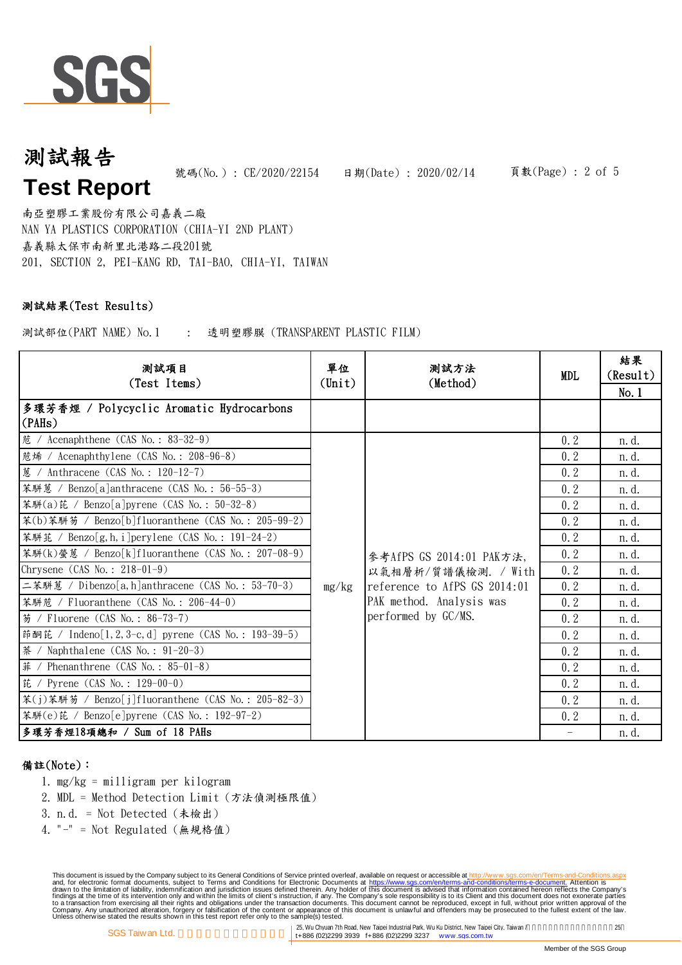

NAN YA PLASTICS CORPORATION (CHIA-YI 2ND PLANT) 嘉義縣太保市南新里北港路二段201號 201, SECTION 2, PEI-KANG RD, TAI-BAO, CHIA-YI, TAIWAN 南亞塑膠工業股份有限公司嘉義二廠

### 測試結果(Test Results)

測試部位(PART NAME) No.1 : 透明塑膠膜 (TRANSPARENT PLASTIC FILM)

| 測試項目<br>(Test Items)                                                                                   |                 | 测試方法<br>(Method)                                | <b>MDL</b> | 結果<br>(Result) |
|--------------------------------------------------------------------------------------------------------|-----------------|-------------------------------------------------|------------|----------------|
|                                                                                                        | $(\text{Unit})$ |                                                 |            | No.1           |
| 多環芳香烴 / Polycyclic Aromatic Hydrocarbons<br>(PAHs)                                                     |                 |                                                 |            |                |
| 苊 / Acenaphthene $(CAS No. : 83-32-9)$                                                                 |                 |                                                 | 0.2        | n. d.          |
| 苊烯 / Acenaphthylene (CAS No.: 208-96-8)                                                                |                 |                                                 | 0.2        | n. d.          |
| 蔥 / Anthracene (CAS No.: 120-12-7)                                                                     |                 |                                                 | 0.2        | n. d.          |
| 苯駢蒽 / Benzo[a]anthracene (CAS No.: 56-55-3)                                                            |                 |                                                 | 0.2        | n. d.          |
| 苯駢(a)芘 / Benzo[a]pyrene (CAS No.: 50-32-8)                                                             |                 |                                                 | 0.2        | n. d.          |
| 苯(b)苯騈芴 / Benzo[b]fluoranthene (CAS No.: 205-99-2)                                                     |                 |                                                 | 0, 2       | n. d.          |
| 苯駢芘 / Benzo[g, h, i]perylene (CAS No.: 191-24-2)<br>苯駢(k)螢蒽 / Benzo[k]fluoranthene (CAS No.: 207-08-9) |                 | 参考AfPS GS 2014:01 PAK方法,<br>以氣相層析/質譜儀檢測. / With | 0.2        | n. d.          |
|                                                                                                        |                 |                                                 | 0.2        | n. d.          |
| Chrysene $(CAS No. : 218-01-9)$                                                                        |                 |                                                 | 0, 2       | n. d.          |
| 二苯駢蒽 / Dibenzo[a, h]anthracene (CAS No.: 53-70-3)                                                      | mg/kg           | reference to AfPS GS 2014:01                    | 0.2        | n. d.          |
| 苯駢苊 / Fluoranthene (CAS No.: 206-44-0)                                                                 |                 | PAK method. Analysis was                        | 0.2        | n. d.          |
| 芴 / Fluorene (CAS No.: 86-73-7)                                                                        |                 | performed by GC/MS.                             | 0, 2       | n. d.          |
| 茚酮芘 / Indeno[1, 2, 3-c, d] pyrene (CAS No.: 193-39-5)                                                  |                 |                                                 | 0.2        | n. d.          |
| 茶 / Naphthalene (CAS No. : 91-20-3)                                                                    |                 |                                                 | 0.2        | n. d.          |
| $#$ / Phenanthrene (CAS No.: 85-01-8)                                                                  |                 |                                                 | 0.2        | n. d.          |
| 芘 / Pyrene (CAS No.: $129-00-0$ )                                                                      |                 |                                                 | 0.2        | n. d.          |
| 苯(j)苯駢芴 / Benzo[j]fluoranthene (CAS No.: 205-82-3)                                                     |                 |                                                 | 0, 2       | n. d.          |
| 苯騈(e)芘 / Benzo[e]pyrene (CAS No.: 192-97-2)                                                            |                 |                                                 | 0, 2       | n. d.          |
| 多環芳香烴18項總和 / Sum of 18 PAHs                                                                            |                 |                                                 |            | n. d.          |

#### 備註(Note):

- 1. mg/kg = milligram per kilogram
- 2. MDL = Method Detection Limit (方法偵測極限值)
- 3. n.d. = Not Detected (未檢出)
- 4. "-" = Not Regulated (無規格值)

This document is issued by the Company subject to Terms and Conditions of Service printed overleaf, available on request on electronic forms. asponsible to the Seneral Conditions for Electronic Documents at https://www.sgs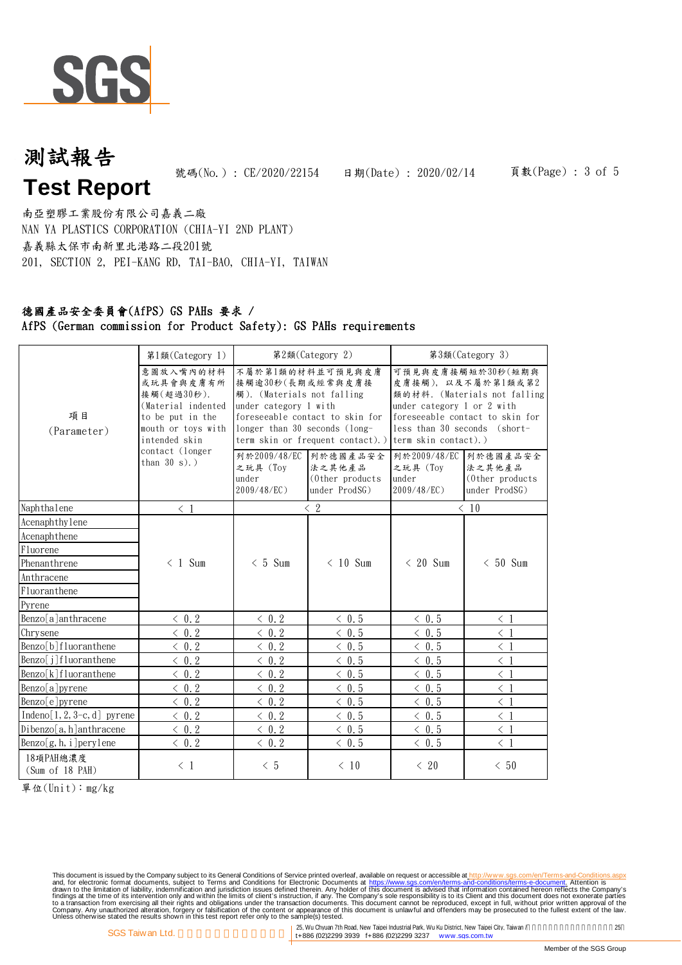

NAN YA PLASTICS CORPORATION (CHIA-YI 2ND PLANT) 嘉義縣太保市南新里北港路二段201號 201, SECTION 2, PEI-KANG RD, TAI-BAO, CHIA-YI, TAIWAN 南亞塑膠工業股份有限公司嘉義二廠

#### 德國產品安全委員會(AfPS) GS PAHs 要求 / AfPS (German commission for Product Safety): GS PAHs requirements

|                                   | 第1類(Category 1)                                                                                                       |                                                                                                                                                                                                     | 第2類(Category 2)                                         | 第3類(Category 3)                                                                                                                                                                                      |                                                         |  |
|-----------------------------------|-----------------------------------------------------------------------------------------------------------------------|-----------------------------------------------------------------------------------------------------------------------------------------------------------------------------------------------------|---------------------------------------------------------|------------------------------------------------------------------------------------------------------------------------------------------------------------------------------------------------------|---------------------------------------------------------|--|
| 項目<br>(Parameter)                 | 意圖放入嘴內的材料<br>或玩具會與皮膚有所<br>接觸(超過30秒).<br>(Material indented<br>to be put in the<br>mouth or toys with<br>intended skin | 不屬於第1類的材料並可預見與皮膚<br>接觸逾30秒(長期或經常與皮膚接<br>觸). (Materials not falling<br>under category 1 with<br>foreseeable contact to skin for<br>longer than 30 seconds (long-<br>term skin or frequent contact).) |                                                         | 可預見與皮膚接觸短於30秒(短期與<br>皮膚接觸), 以及不屬於第1類或第2<br>類的材料. (Materials not falling<br>under category $1$ or $2$ with<br>foreseeable contact to skin for<br>less than 30 seconds (short-<br>term skin contact).) |                                                         |  |
|                                   | contact (longer<br>than $30 s)$ .)                                                                                    | 列於2009/48/EC<br>之玩具(Tov<br>under<br>2009/48/EC)                                                                                                                                                     | 列於德國產品安全<br>法之其他產品<br>(Other products)<br>under ProdSG) | 列於2009/48/EC<br>之玩具 (Toy<br>under<br>2009/48/EC)                                                                                                                                                     | 列於德國產品安全<br>法之其他產品<br>(Other products)<br>under ProdSG) |  |
| Naphthalene                       | $\langle 1$                                                                                                           |                                                                                                                                                                                                     | $\langle 2$                                             |                                                                                                                                                                                                      | $\langle 10$                                            |  |
| Acenaphthylene                    |                                                                                                                       |                                                                                                                                                                                                     |                                                         |                                                                                                                                                                                                      |                                                         |  |
| Acenaphthene                      |                                                                                                                       |                                                                                                                                                                                                     |                                                         |                                                                                                                                                                                                      |                                                         |  |
| Fluorene                          |                                                                                                                       |                                                                                                                                                                                                     |                                                         |                                                                                                                                                                                                      |                                                         |  |
| Phenanthrene                      | $\langle 1 \text{ Sum}$                                                                                               | $< 5$ Sum                                                                                                                                                                                           | $< 10$ Sum                                              | $\leq 20$ Sum                                                                                                                                                                                        | $< 50$ Sum                                              |  |
| Anthracene                        |                                                                                                                       |                                                                                                                                                                                                     |                                                         |                                                                                                                                                                                                      |                                                         |  |
| Fluoranthene                      |                                                                                                                       |                                                                                                                                                                                                     |                                                         |                                                                                                                                                                                                      |                                                         |  |
| Pyrene                            |                                                                                                                       |                                                                                                                                                                                                     |                                                         |                                                                                                                                                                                                      |                                                         |  |
| Benzo[a]anthracene                | $\langle$ 0.2                                                                                                         | $\langle$ 0.2                                                                                                                                                                                       | $\langle$ 0.5                                           | $\langle$ 0.5                                                                                                                                                                                        | $\langle 1$                                             |  |
| Chrysene                          | $\langle 0.2$                                                                                                         | $\langle 0.2$                                                                                                                                                                                       | $\langle 0.5$                                           | $\langle$ 0.5                                                                                                                                                                                        | $\langle 1$                                             |  |
| Benzo[b]fluoranthene              | $\langle$ 0.2                                                                                                         | $\langle$ 0.2                                                                                                                                                                                       | $\langle 0.5$                                           | $\langle$ 0.5                                                                                                                                                                                        | $\langle 1$                                             |  |
| Benzo[j]fluoranthene              | $\langle 0.2$                                                                                                         | $\langle 0.2$                                                                                                                                                                                       | $\langle 0.5$                                           | $\langle$ 0.5                                                                                                                                                                                        | $\langle 1$                                             |  |
| $Benzo[k]$ fluoranthene           | $\langle 0, 2 \rangle$                                                                                                | $\langle 0, 2 \rangle$                                                                                                                                                                              | $\langle 0.5$                                           | $\langle 0.5$                                                                                                                                                                                        | $\langle 1$                                             |  |
| Benzo[a]pyrene                    | $\langle$ 0.2                                                                                                         | $\langle 0.2$                                                                                                                                                                                       | $\langle 0.5$                                           | $\langle$ 0.5                                                                                                                                                                                        | $\langle 1$                                             |  |
| Benzo[e]pyrene                    | $\langle 0.2$                                                                                                         | $\langle 0.2$                                                                                                                                                                                       | $\langle 0.5$                                           | $\langle 0.5$                                                                                                                                                                                        | $\langle 1$                                             |  |
| $Indeno[1, 2, 3-c, d]$ pyrene     | $\langle 0, 2 \rangle$                                                                                                | $\langle 0.2$                                                                                                                                                                                       | $\langle 0.5$                                           | $\langle 0.5$                                                                                                                                                                                        | $\langle 1$                                             |  |
| Dibenzo[a, h]anthracene           | $\leq 0.2$                                                                                                            | $\langle 0.2$                                                                                                                                                                                       | $\langle 0.5$                                           | $\langle 0.5$                                                                                                                                                                                        | $\langle 1$                                             |  |
| $\text{Benzo}[g, h, i]$ pery lene | $\langle 0, 2 \rangle$                                                                                                | $\langle 0.2$                                                                                                                                                                                       | $\langle 0.5$                                           | $\langle 0.5$                                                                                                                                                                                        | $\langle 1$                                             |  |
| 18項PAH總濃度<br>(Sum of 18 PAH)      | $\langle 1$                                                                                                           | $\leq 5$                                                                                                                                                                                            | $\langle 10$                                            | $\langle 20$                                                                                                                                                                                         | < 50                                                    |  |

單位(Unit):mg/kg

This document is issued by the Company subject to Terms and Conditions of Service printed overleaf, available on request on electronic forms. asponsible to the Seneral Conditions for Electronic Documents at https://www.sgs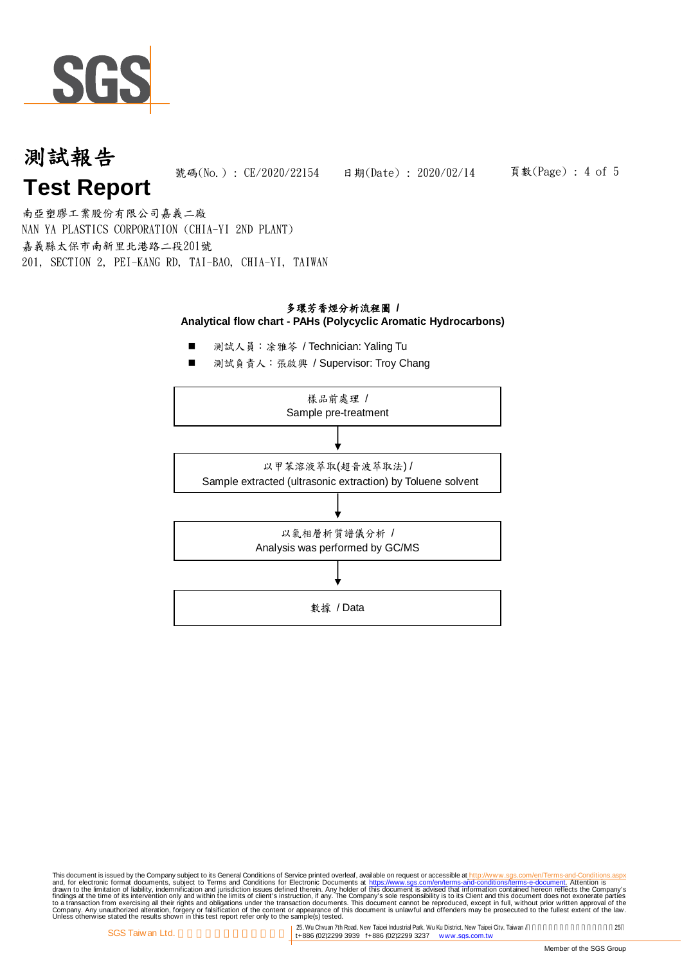

#### 頁數(Page) : 4 of 5

NAN YA PLASTICS CORPORATION (CHIA-YI 2ND PLANT) 嘉義縣太保市南新里北港路二段201號 201, SECTION 2, PEI-KANG RD, TAI-BAO, CHIA-YI, TAIWAN 南亞塑膠工業股份有限公司嘉義二廠

#### 多環芳香烴分析流程圖 **/ Analytical flow chart - PAHs (Polycyclic Aromatic Hydrocarbons)**

- 測試人員:涂雅芩 / Technician: Yaling Tu
- 測試負責人:張啟興 / Supervisor: Troy Chang



This document is issued by the Company subject to Terms and Conditions of Service printed overleaf, available on request on electronic forms. asponsible to the Seneral Conditions for Electronic Documents at https://www.sgs